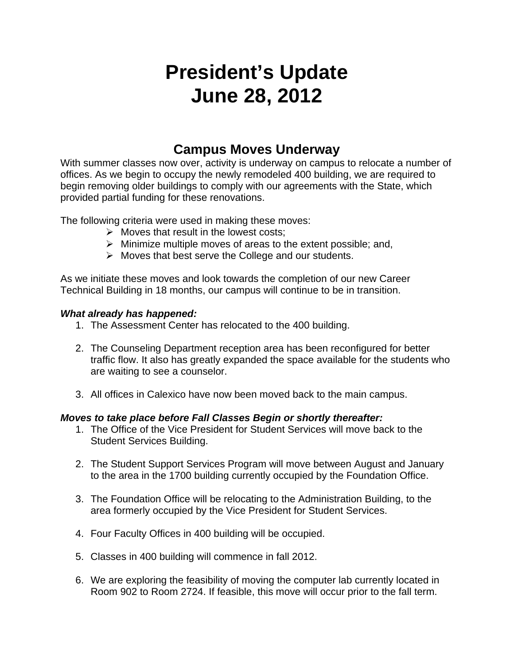# **President's Update June 28, 2012**

### **Campus Moves Underway**

With summer classes now over, activity is underway on campus to relocate a number of offices. As we begin to occupy the newly remodeled 400 building, we are required to begin removing older buildings to comply with our agreements with the State, which provided partial funding for these renovations.

The following criteria were used in making these moves:

- $\triangleright$  Moves that result in the lowest costs:
- $\triangleright$  Minimize multiple moves of areas to the extent possible; and,
- $\triangleright$  Moves that best serve the College and our students.

As we initiate these moves and look towards the completion of our new Career Technical Building in 18 months, our campus will continue to be in transition.

#### *What already has happened:*

- 1. The Assessment Center has relocated to the 400 building.
- 2. The Counseling Department reception area has been reconfigured for better traffic flow. It also has greatly expanded the space available for the students who are waiting to see a counselor.
- 3. All offices in Calexico have now been moved back to the main campus.

#### *Moves to take place before Fall Classes Begin or shortly thereafter:*

- 1. The Office of the Vice President for Student Services will move back to the Student Services Building.
- 2. The Student Support Services Program will move between August and January to the area in the 1700 building currently occupied by the Foundation Office.
- 3. The Foundation Office will be relocating to the Administration Building, to the area formerly occupied by the Vice President for Student Services.
- 4. Four Faculty Offices in 400 building will be occupied.
- 5. Classes in 400 building will commence in fall 2012.
- 6. We are exploring the feasibility of moving the computer lab currently located in Room 902 to Room 2724. If feasible, this move will occur prior to the fall term.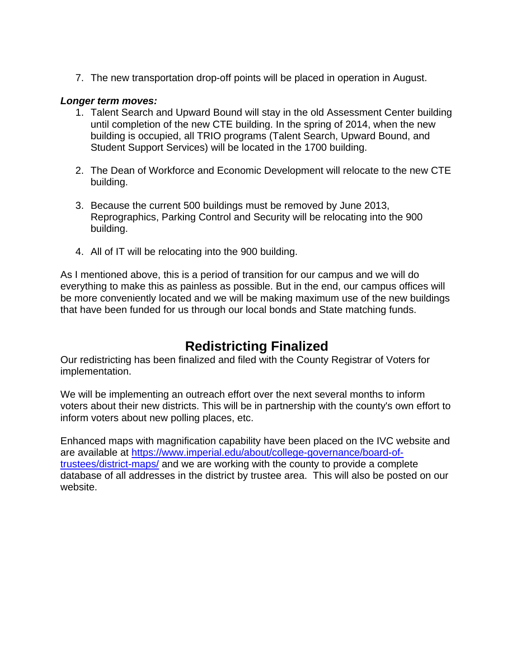7. The new transportation drop-off points will be placed in operation in August.

#### *Longer term moves:*

- 1. Talent Search and Upward Bound will stay in the old Assessment Center building until completion of the new CTE building. In the spring of 2014, when the new building is occupied, all TRIO programs (Talent Search, Upward Bound, and Student Support Services) will be located in the 1700 building.
- 2. The Dean of Workforce and Economic Development will relocate to the new CTE building.
- 3. Because the current 500 buildings must be removed by June 2013, Reprographics, Parking Control and Security will be relocating into the 900 building.
- 4. All of IT will be relocating into the 900 building.

As I mentioned above, this is a period of transition for our campus and we will do everything to make this as painless as possible. But in the end, our campus offices will be more conveniently located and we will be making maximum use of the new buildings that have been funded for us through our local bonds and State matching funds.

## **Redistricting Finalized**

Our redistricting has been finalized and filed with the County Registrar of Voters for implementation.

We will be implementing an outreach effort over the next several months to inform voters about their new districts. This will be in partnership with the county's own effort to inform voters about new polling places, etc.

Enhanced maps with magnification capability have been placed on the IVC website and are available at https://www.imperial.edu/about/college-governance/board-oftrustees/district-maps/ and we are working with the county to provide a complete database of all addresses in the district by trustee area. This will also be posted on our website.